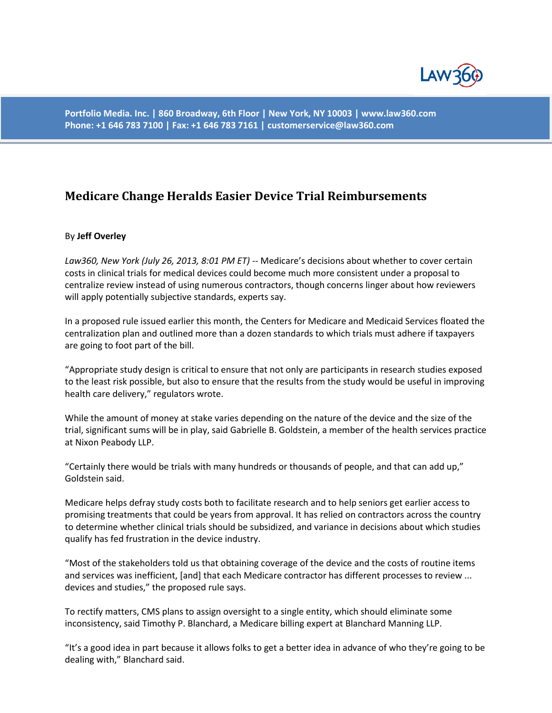

**Portfolio Media. Inc. | 860 Broadway, 6th Floor | New York, NY 10003 | www.law360.com Phone: +1 646 783 7100 | Fax: +1 646 783 7161 | customerservice@law360.com**

## **Medicare Change Heralds Easier Device Trial Reimbursements**

## By **Jeff Overley**

*Law360, New York (July 26, 2013, 8:01 PM ET)* -- Medicare's decisions about whether to cover certain costs in clinical trials for medical devices could become much more consistent under a proposal to centralize review instead of using numerous contractors, though concerns linger about how reviewers will apply potentially subjective standards, experts say.

In a proposed rule issued earlier this month, the Centers for Medicare and Medicaid Services floated the centralization plan and outlined more than a dozen standards to which trials must adhere if taxpayers are going to foot part of the bill.

"Appropriate study design is critical to ensure that not only are participants in research studies exposed to the least risk possible, but also to ensure that the results from the study would be useful in improving health care delivery," regulators wrote.

While the amount of money at stake varies depending on the nature of the device and the size of the trial, significant sums will be in play, said Gabrielle B. Goldstein, a member of the health services practice at Nixon Peabody LLP.

"Certainly there would be trials with many hundreds or thousands of people, and that can add up," Goldstein said.

Medicare helps defray study costs both to facilitate research and to help seniors get earlier access to promising treatments that could be years from approval. It has relied on contractors across the country to determine whether clinical trials should be subsidized, and variance in decisions about which studies qualify has fed frustration in the device industry.

"Most of the stakeholders told us that obtaining coverage of the device and the costs of routine items and services was inefficient, [and] that each Medicare contractor has different processes to review ... devices and studies," the proposed rule says.

To rectify matters, CMS plans to assign oversight to a single entity, which should eliminate some inconsistency, said Timothy P. Blanchard, a Medicare billing expert at Blanchard Manning LLP.

"It's a good idea in part because it allows folks to get a better idea in advance of who they're going to be dealing with," Blanchard said.